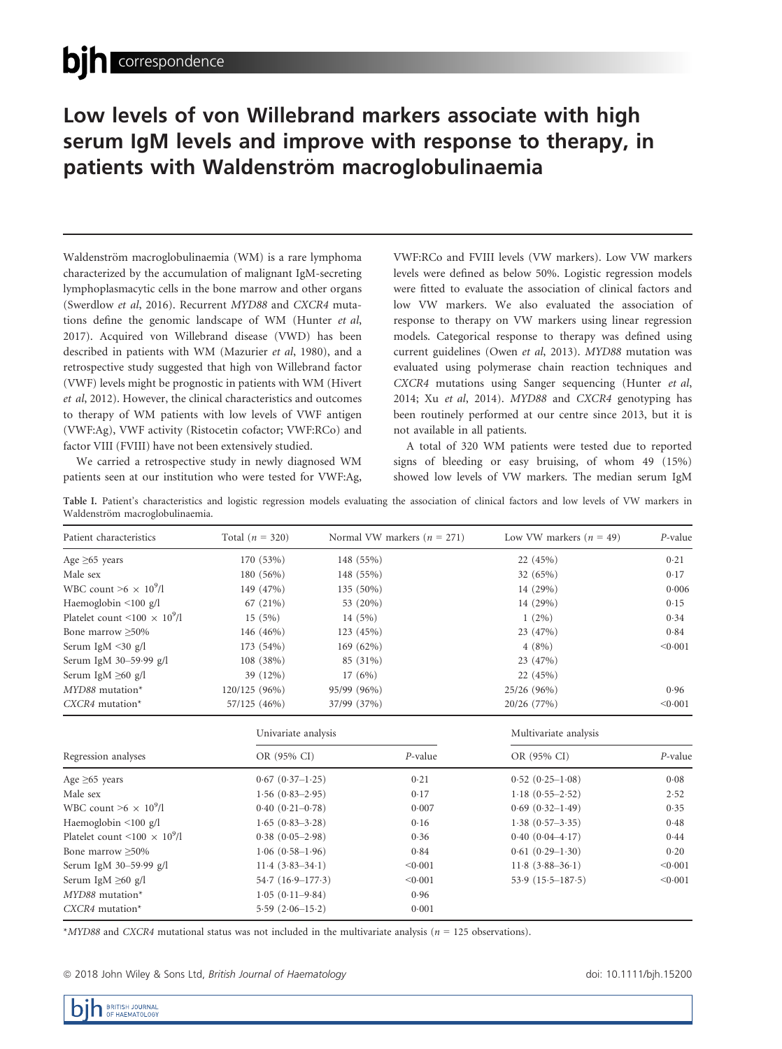# Low levels of von Willebrand markers associate with high serum IgM levels and improve with response to therapy, in patients with Waldenström macroglobulinaemia

Waldenström macroglobulinaemia (WM) is a rare lymphoma characterized by the accumulation of malignant IgM-secreting lymphoplasmacytic cells in the bone marrow and other organs (Swerdlow et al, 2016). Recurrent MYD88 and CXCR4 mutations define the genomic landscape of WM (Hunter et al, 2017). Acquired von Willebrand disease (VWD) has been described in patients with WM (Mazurier et al, 1980), and a retrospective study suggested that high von Willebrand factor (VWF) levels might be prognostic in patients with WM (Hivert et al, 2012). However, the clinical characteristics and outcomes to therapy of WM patients with low levels of VWF antigen (VWF:Ag), VWF activity (Ristocetin cofactor; VWF:RCo) and factor VIII (FVIII) have not been extensively studied.

We carried a retrospective study in newly diagnosed WM patients seen at our institution who were tested for VWF:Ag, VWF:RCo and FVIII levels (VW markers). Low VW markers levels were defined as below 50%. Logistic regression models were fitted to evaluate the association of clinical factors and low VW markers. We also evaluated the association of response to therapy on VW markers using linear regression models. Categorical response to therapy was defined using current guidelines (Owen et al, 2013). MYD88 mutation was evaluated using polymerase chain reaction techniques and CXCR4 mutations using Sanger sequencing (Hunter et al, 2014; Xu et al, 2014). MYD88 and CXCR4 genotyping has been routinely performed at our centre since 2013, but it is not available in all patients.

A total of 320 WM patients were tested due to reported signs of bleeding or easy bruising, of whom 49 (15%) showed low levels of VW markers. The median serum IgM

Table I. Patient's characteristics and logistic regression models evaluating the association of clinical factors and low levels of VW markers in Waldenström macroglobulinaemia.

| Patient characteristics                 | Total $(n = 320)$ | Normal VW markers ( $n = 271$ ) | Low VW markers $(n = 49)$ | $P$ -value |
|-----------------------------------------|-------------------|---------------------------------|---------------------------|------------|
| Age $\geq 65$ years                     | 170 (53%)         | 148 (55%)                       | 22 (45%)                  | 0.21       |
| Male sex                                | 180 (56%)         | 148 (55%)                       | 32(65%)                   | 0.17       |
| WBC count $\geq 6 \times 10^9$ /l       | 149 (47%)         | 135 (50%)                       | 14 (29%)                  | 0.006      |
| Haemoglobin $\leq 100$ g/l              | 67 (21%)          | 53 (20%)                        | 14 (29%)                  | 0.15       |
| Platelet count $\leq 100 \times 10^9/l$ | 15(5%)            | 14(5%)                          | $1(2\%)$                  | 0.34       |
| Bone marrow >50%                        | 146 (46%)         | 123 (45%)                       | 23 (47%)                  | 0.84       |
| Serum IgM $\leq$ 30 g/l                 | 173 (54%)         | 169 (62%)                       | 4(8%)                     | < 0.001    |
| Serum IgM 30-59.99 g/l                  | 108 (38%)         | 85 (31%)                        | 23 (47%)                  |            |
| Serum IgM $\geq 60$ g/l                 | 39 (12%)          | 17(6%)                          | 22 (45%)                  |            |
| $MYD88$ mutation <sup>*</sup>           | 120/125 (96%)     | 95/99 (96%)                     | 25/26 (96%)               | 0.96       |
| $CXCR4$ mutation <sup>*</sup>           | 57/125 (46%)      | 37/99 (37%)                     | 20/26 (77%)               | < 0.001    |

|                                         | Univariate analysis |         | Multivariate analysis |            |
|-----------------------------------------|---------------------|---------|-----------------------|------------|
| Regression analyses                     | OR (95% CI)         | P-value | OR (95% CI)           | $P$ -value |
| Age $\geq 65$ years                     | $0.67(0.37-1.25)$   | 0.21    | $0.52(0.25-1.08)$     | 0.08       |
| Male sex                                | $1.56(0.83-2.95)$   | 0.17    | $1.18(0.55 - 2.52)$   | 2.52       |
| WBC count $\geq 6 \times 10^9$ /l       | $0.40(0.21 - 0.78)$ | 0.007   | $0.69(0.32 - 1.49)$   | 0.35       |
| Haemoglobin $\leq 100$ g/l              | $1.65(0.83 - 3.28)$ | 0.16    | $1.38(0.57-3.35)$     | 0.48       |
| Platelet count $\leq 100 \times 10^9/l$ | $0.38(0.05-2.98)$   | 0.36    | $0.40(0.04 - 4.17)$   | 0.44       |
| Bone marrow > 50%                       | $1.06(0.58-1.96)$   | 0.84    | $0.61(0.29-1.30)$     | 0.20       |
| Serum IgM 30-59.99 g/l                  | $11.4(3.83 - 34.1)$ | < 0.001 | $11.8(3.88-36.1)$     | < 0.001    |
| Serum IgM $\geq 60$ g/l                 | $54.7(16.9-177.3)$  | < 0.001 | $53.9(15.5-187.5)$    | < 0.001    |
| $MYD88$ mutation <sup>*</sup>           | $1.05(0.11 - 9.84)$ | 0.96    |                       |            |
| $CXCR4$ mutation <sup>*</sup>           | $5.59(2.06-15.2)$   | 0.001   |                       |            |

\*MYD88 and CXCR4 mutational status was not included in the multivariate analysis ( $n = 125$  observations).

<sup>ª</sup> 2018 John Wiley & Sons Ltd, British Journal of Haematology doi: 10.1111/bjh.15200

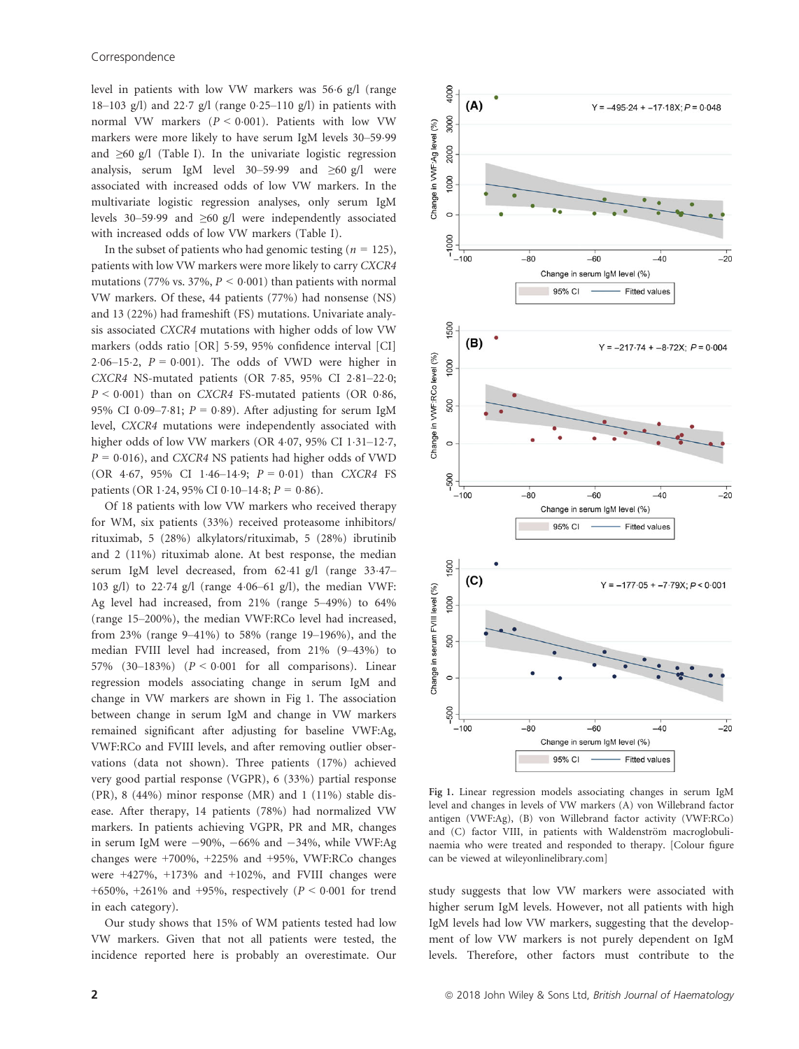level in patients with low VW markers was 566 g/l (range 18–103 g/l) and 22.7 g/l (range  $0.25-110$  g/l) in patients with normal VW markers  $(P < 0.001)$ . Patients with low VW markers were more likely to have serum IgM levels 30-59.99 and  $\geq 60$  g/l (Table I). In the univariate logistic regression analysis, serum IgM level 30–59.99 and  $\geq 60$  g/l were associated with increased odds of low VW markers. In the multivariate logistic regression analyses, only serum IgM levels 30–5999 and ≥60 g/l were independently associated with increased odds of low VW markers (Table I).

In the subset of patients who had genomic testing ( $n = 125$ ), patients with low VW markers were more likely to carry CXCR4 mutations (77% vs. 37%,  $P < 0.001$ ) than patients with normal VW markers. Of these, 44 patients (77%) had nonsense (NS) and 13 (22%) had frameshift (FS) mutations. Univariate analysis associated CXCR4 mutations with higher odds of low VW markers (odds ratio [OR] 559, 95% confidence interval [CI] 2.06–15.2,  $P = 0.001$ ). The odds of VWD were higher in CXCR4 NS-mutated patients (OR  $7.85$ ,  $95\%$  CI  $2.81-22.0$ ;  $P \le 0.001$ ) than on CXCR4 FS-mutated patients (OR 0.86, 95% CI 0.09-7.81;  $P = 0.89$ ). After adjusting for serum IgM level, CXCR4 mutations were independently associated with higher odds of low VW markers (OR 4.07, 95% CI 1.31-12.7,  $P = 0.016$ ), and CXCR4 NS patients had higher odds of VWD (OR 4.67, 95% CI 1.46-14.9;  $P = 0.01$ ) than CXCR4 FS patients (OR 1.24, 95% CI 0.10–14.8;  $P = 0.86$ ).

Of 18 patients with low VW markers who received therapy for WM, six patients (33%) received proteasome inhibitors/ rituximab, 5 (28%) alkylators/rituximab, 5 (28%) ibrutinib and 2 (11%) rituximab alone. At best response, the median serum IgM level decreased, from 62.41 g/l (range 33.47-103 g/l) to 2274 g/l (range 406–61 g/l), the median VWF: Ag level had increased, from 21% (range 5–49%) to 64% (range 15–200%), the median VWF:RCo level had increased, from 23% (range 9–41%) to 58% (range 19–196%), and the median FVIII level had increased, from 21% (9–43%) to 57% (30-183%) ( $P < 0.001$  for all comparisons). Linear regression models associating change in serum IgM and change in VW markers are shown in Fig 1. The association between change in serum IgM and change in VW markers remained significant after adjusting for baseline VWF:Ag, VWF:RCo and FVIII levels, and after removing outlier observations (data not shown). Three patients (17%) achieved very good partial response (VGPR), 6 (33%) partial response (PR), 8 (44%) minor response (MR) and 1 (11%) stable disease. After therapy, 14 patients (78%) had normalized VW markers. In patients achieving VGPR, PR and MR, changes in serum IgM were  $-90\%$ ,  $-66\%$  and  $-34\%$ , while VWF:Ag changes were +700%, +225% and +95%, VWF:RCo changes were  $+427\%$ ,  $+173\%$  and  $+102\%$ , and FVIII changes were +650%, +261% and +95%, respectively ( $P < 0.001$  for trend in each category).

Our study shows that 15% of WM patients tested had low VW markers. Given that not all patients were tested, the incidence reported here is probably an overestimate. Our



Fig 1. Linear regression models associating changes in serum IgM level and changes in levels of VW markers (A) von Willebrand factor antigen (VWF:Ag), (B) von Willebrand factor activity (VWF:RCo) and (C) factor VIII, in patients with Waldenström macroglobulinaemia who were treated and responded to therapy. [Colour figure can be viewed at wileyonlinelibrary.com]

study suggests that low VW markers were associated with higher serum IgM levels. However, not all patients with high IgM levels had low VW markers, suggesting that the development of low VW markers is not purely dependent on IgM levels. Therefore, other factors must contribute to the